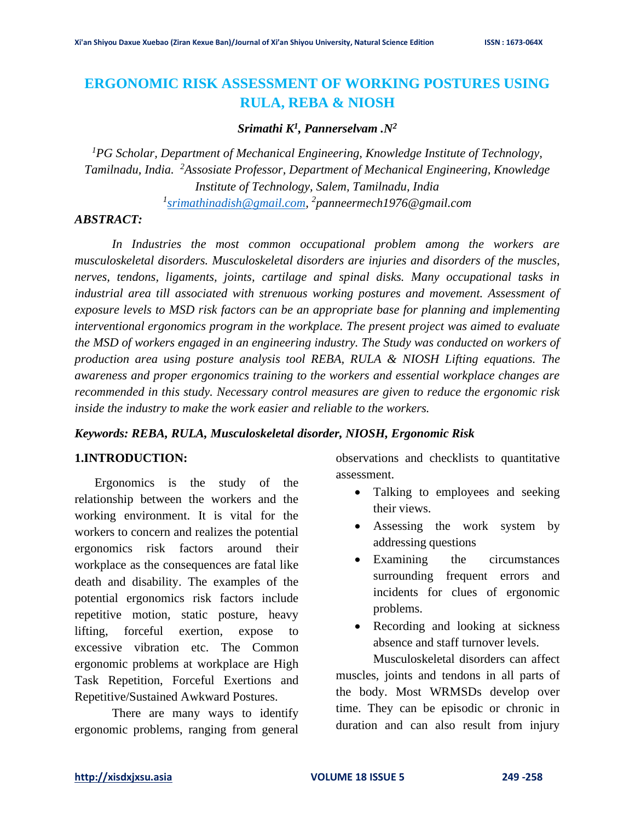# **ERGONOMIC RISK ASSESSMENT OF WORKING POSTURES USING RULA, REBA & NIOSH**

## *Srimathi K<sup>1</sup> , Pannerselvam .N<sup>2</sup>*

*<sup>1</sup>PG Scholar, Department of Mechanical Engineering, Knowledge Institute of Technology, Tamilnadu, India. <sup>2</sup>Assosiate Professor, Department of Mechanical Engineering, Knowledge Institute of Technology, Salem, Tamilnadu, India*

*1 [srimathinadish@gmail.com,](mailto:srimathinadish@gmail.com) 2 panneermech1976@gmail.com*

### *ABSTRACT:*

In Industries the most common occupational problem among the workers are *musculoskeletal disorders. Musculoskeletal disorders are injuries and disorders of the muscles, nerves, tendons, ligaments, joints, cartilage and spinal disks. Many occupational tasks in industrial area till associated with strenuous working postures and movement. Assessment of exposure levels to MSD risk factors can be an appropriate base for planning and implementing interventional ergonomics program in the workplace. The present project was aimed to evaluate the MSD of workers engaged in an engineering industry. The Study was conducted on workers of production area using posture analysis tool REBA, RULA & NIOSH Lifting equations. The awareness and proper ergonomics training to the workers and essential workplace changes are recommended in this study. Necessary control measures are given to reduce the ergonomic risk inside the industry to make the work easier and reliable to the workers.*

#### *Keywords: REBA, RULA, Musculoskeletal disorder, NIOSH, Ergonomic Risk*

### **1.INTRODUCTION:**

Ergonomics is the study of the relationship between the workers and the working environment. It is vital for the workers to concern and realizes the potential ergonomics risk factors around their workplace as the consequences are fatal like death and disability. The examples of the potential ergonomics risk factors include repetitive motion, static posture, heavy lifting, forceful exertion, expose to excessive vibration etc. The Common ergonomic problems at workplace are High Task Repetition, Forceful Exertions and Repetitive/Sustained Awkward Postures.

There are many ways to identify ergonomic problems, ranging from general

observations and checklists to quantitative assessment.

- Talking to employees and seeking their views.
- Assessing the work system by addressing questions
- Examining the circumstances surrounding frequent errors and incidents for clues of ergonomic problems.
- Recording and looking at sickness absence and staff turnover levels.

Musculoskeletal disorders can affect muscles, joints and tendons in all parts of the body. Most WRMSDs develop over time. They can be episodic or chronic in duration and can also result from injury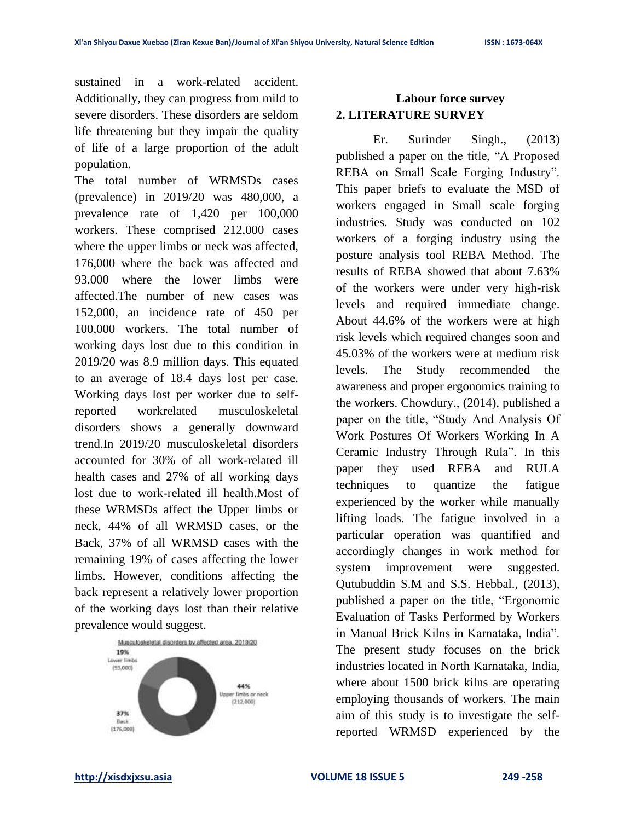sustained in a work-related accident. Additionally, they can progress from mild to severe disorders. These disorders are seldom life threatening but they impair the quality of life of a large proportion of the adult population.

The total number of WRMSDs cases (prevalence) in 2019/20 was 480,000, a prevalence rate of 1,420 per 100,000 workers. These comprised 212,000 cases where the upper limbs or neck was affected, 176,000 where the back was affected and 93.000 where the lower limbs were affected.The number of new cases was 152,000, an incidence rate of 450 per 100,000 workers. The total number of working days lost due to this condition in 2019/20 was 8.9 million days. This equated to an average of 18.4 days lost per case. Working days lost per worker due to selfreported workrelated musculoskeletal disorders shows a generally downward trend.In 2019/20 musculoskeletal disorders accounted for 30% of all work-related ill health cases and 27% of all working days lost due to work-related ill health.Most of these WRMSDs affect the Upper limbs or neck, 44% of all WRMSD cases, or the Back, 37% of all WRMSD cases with the remaining 19% of cases affecting the lower limbs. However, conditions affecting the back represent a relatively lower proportion of the working days lost than their relative prevalence would suggest.



## **Labour force survey 2. LITERATURE SURVEY**

Er. Surinder Singh., (2013) published a paper on the title, "A Proposed REBA on Small Scale Forging Industry". This paper briefs to evaluate the MSD of workers engaged in Small scale forging industries. Study was conducted on 102 workers of a forging industry using the posture analysis tool REBA Method. The results of REBA showed that about 7.63% of the workers were under very high-risk levels and required immediate change. About 44.6% of the workers were at high risk levels which required changes soon and 45.03% of the workers were at medium risk levels. The Study recommended the awareness and proper ergonomics training to the workers. Chowdury., (2014), published a paper on the title, "Study And Analysis Of Work Postures Of Workers Working In A Ceramic Industry Through Rula". In this paper they used REBA and RULA techniques to quantize the fatigue experienced by the worker while manually lifting loads. The fatigue involved in a particular operation was quantified and accordingly changes in work method for system improvement were suggested. Qutubuddin S.M and S.S. Hebbal., (2013), published a paper on the title, "Ergonomic Evaluation of Tasks Performed by Workers in Manual Brick Kilns in Karnataka, India". The present study focuses on the brick industries located in North Karnataka, India, where about 1500 brick kilns are operating employing thousands of workers. The main aim of this study is to investigate the selfreported WRMSD experienced by the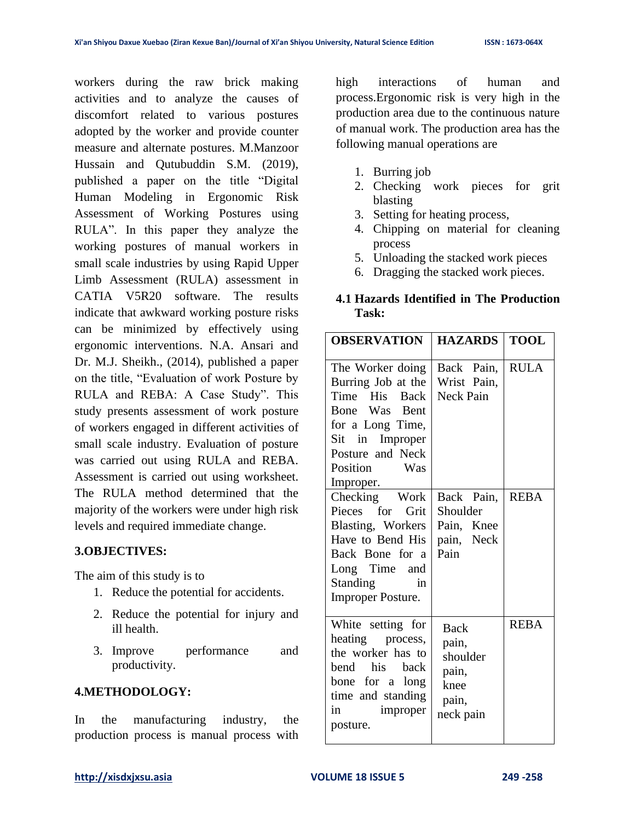workers during the raw brick making activities and to analyze the causes of discomfort related to various postures adopted by the worker and provide counter measure and alternate postures. M.Manzoor Hussain and Qutubuddin S.M. (2019), published a paper on the title "Digital Human Modeling in Ergonomic Risk Assessment of Working Postures using RULA". In this paper they analyze the working postures of manual workers in small scale industries by using Rapid Upper Limb Assessment (RULA) assessment in CATIA V5R20 software. The results indicate that awkward working posture risks can be minimized by effectively using ergonomic interventions. N.A. Ansari and Dr. M.J. Sheikh., (2014), published a paper on the title, "Evaluation of work Posture by RULA and REBA: A Case Study". This study presents assessment of work posture of workers engaged in different activities of small scale industry. Evaluation of posture was carried out using RULA and REBA. Assessment is carried out using worksheet. The RULA method determined that the majority of the workers were under high risk levels and required immediate change.

## **3.OBJECTIVES:**

The aim of this study is to

- 1. Reduce the potential for accidents.
- 2. Reduce the potential for injury and ill health.
- 3. Improve performance and productivity.

## **4.METHODOLOGY:**

In the manufacturing industry, the production process is manual process with high interactions of human and process.Ergonomic risk is very high in the production area due to the continuous nature of manual work. The production area has the following manual operations are

- 1. Burring job
- 2. Checking work pieces for grit blasting
- 3. Setting for heating process,
- 4. Chipping on material for cleaning process
- 5. Unloading the stacked work pieces
- 6. Dragging the stacked work pieces.

## **4.1 Hazards Identified in The Production Task:**

| <b>OBSERVATION</b>                                                                                                                                               | <b>HAZARDS</b>                                                          | <b>TOOL</b> |
|------------------------------------------------------------------------------------------------------------------------------------------------------------------|-------------------------------------------------------------------------|-------------|
| The Worker doing<br>Burring Job at the<br>Time His Back<br>Bone Was Bent<br>for a Long Time,<br>Sit in Improper<br>Posture and Neck<br>Position Was<br>Improper. | Back Pain,<br>Wrist Pain,<br><b>Neck Pain</b>                           | <b>RULA</b> |
| Checking Work<br>Pieces for Grit<br>Blasting, Workers<br>Have to Bend His<br>Back Bone for a<br>Long Time and<br><b>Standing</b><br>in<br>Improper Posture.      | Back Pain,<br>Shoulder<br>Pain, Knee<br>pain, Neck<br>Pain              | <b>REBA</b> |
| White setting for<br>heating process,<br>the worker has to<br>bend his back<br>bone for a long<br>time and standing<br>in improper<br>posture.                   | <b>Back</b><br>pain,<br>shoulder<br>pain,<br>knee<br>pain,<br>neck pain | <b>REBA</b> |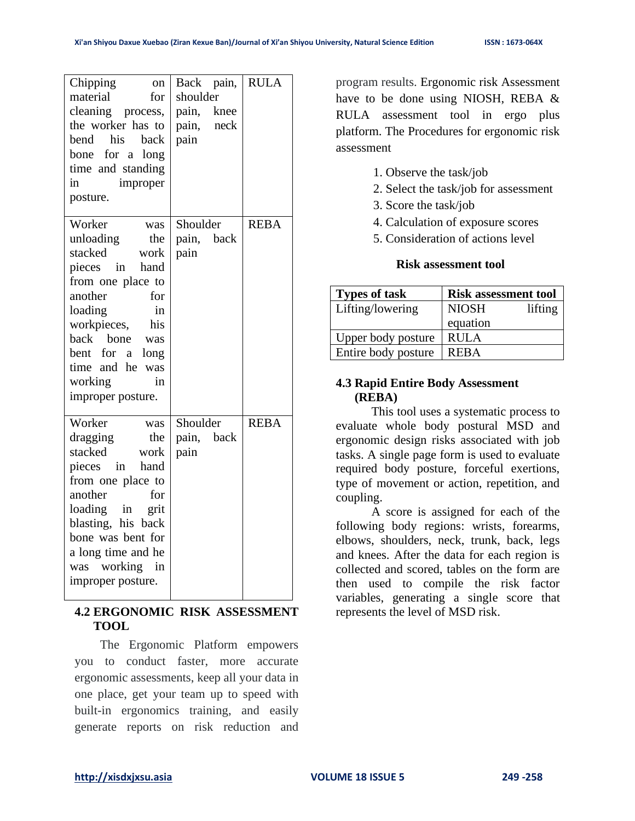| Chipping<br>on<br>material<br>for<br>cleaning process,<br>the worker has to<br>bend his<br>back<br>bone for a<br>long<br>time and standing<br>in<br>improper<br>posture.                                                                                                   | Back pain,<br>shoulder<br>pain,<br>knee<br>pain,<br>neck<br>pain | <b>RULA</b> |
|----------------------------------------------------------------------------------------------------------------------------------------------------------------------------------------------------------------------------------------------------------------------------|------------------------------------------------------------------|-------------|
| Worker<br>was<br>unloading<br>the<br>stacked<br>work<br>pieces<br>$\sin$<br>hand<br>from one place to<br>another<br>for<br>loading<br>in<br>workpieces,<br>his<br>back<br>bone<br>was<br>bent for<br>a<br>long<br>time and he<br>was<br>working<br>in<br>improper posture. | Shoulder<br>pain,<br>back<br>pain                                | <b>REBA</b> |
| Worker<br>was<br>dragging<br>the<br>stacked<br>work<br>in<br>hand<br>pieces<br>from one place to<br>another<br>for<br>loading in<br>grit<br>blasting, his back<br>bone was bent for<br>a long time and he<br>was working<br>$\dot{m}$<br>improper posture.                 | Shoulder<br>back<br>pain,<br>pain                                | <b>REBA</b> |

## **4.2 ERGONOMIC RISK ASSESSMENT TOOL**

The Ergonomic Platform empowers you to conduct faster, more accurate ergonomic assessments, keep all your data in one place, get your team up to speed with built-in ergonomics training, and easily generate reports on risk reduction and program results. Ergonomic risk Assessment have to be done using NIOSH, REBA & RULA assessment tool in ergo plus platform. The Procedures for ergonomic risk assessment

- 1. Observe the task/job
- 2. Select the task/job for assessment
- 3. Score the task/job
- 4. Calculation of exposure scores
- 5. Consideration of actions level

#### **Risk assessment tool**

| <b>Types of task</b> | <b>Risk assessment tool</b> |
|----------------------|-----------------------------|
| Lifting/lowering     | <b>NIOSH</b><br>lifting     |
|                      | equation                    |
| Upper body posture   | <b>RULA</b>                 |
| Entire body posture  | <b>REBA</b>                 |

## **4.3 Rapid Entire Body Assessment (REBA)**

This tool uses a systematic process to evaluate whole body postural MSD and ergonomic design risks associated with job tasks. A single page form is used to evaluate required body posture, forceful exertions, type of movement or action, repetition, and coupling.

A score is assigned for each of the following body regions: wrists, forearms, elbows, shoulders, neck, trunk, back, legs and knees. After the data for each region is collected and scored, tables on the form are then used to compile the risk factor variables, generating a single score that represents the level of MSD risk.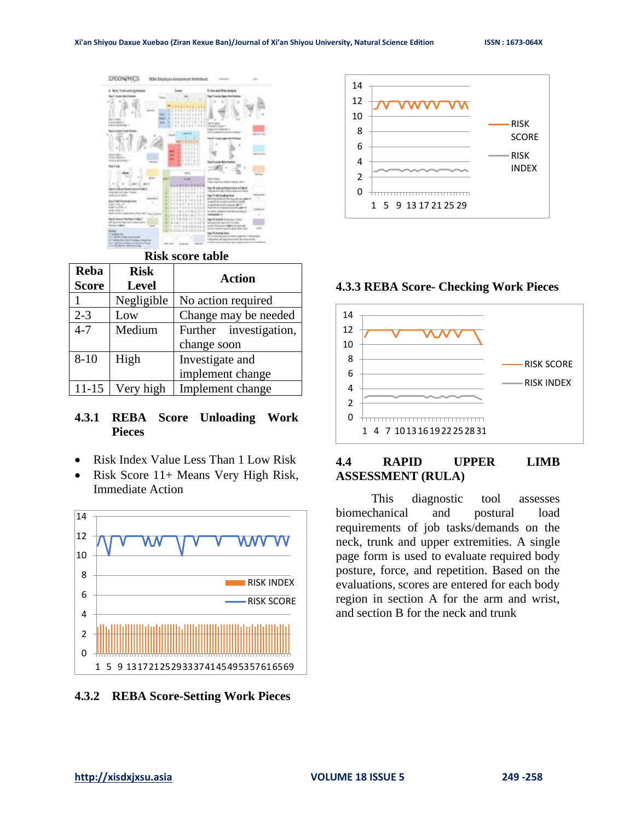

## **Risk score table**

| Reba         | <b>Risk</b>  | <b>Action</b>          |  |
|--------------|--------------|------------------------|--|
| <b>Score</b> | <b>Level</b> |                        |  |
|              | Negligible   | No action required     |  |
| $2 - 3$      | Low          | Change may be needed   |  |
| $4 - 7$      | Medium       | Further investigation, |  |
|              |              | change soon            |  |
| $8 - 10$     | High         | Investigate and        |  |
|              |              | implement change       |  |
| $11 - 15$    | Very high    | Implement change       |  |

## **4.3.1 REBA Score Unloading Work Pieces**

- Risk Index Value Less Than 1 Low Risk
- Risk Score 11+ Means Very High Risk, Immediate Action



**4.3.2 REBA Score-Setting Work Pieces**



**4.3.3 REBA Score- Checking Work Pieces**



## **4.4 RAPID UPPER LIMB ASSESSMENT (RULA)**

This diagnostic tool assesses biomechanical and postural load requirements of job tasks/demands on the neck, trunk and upper extremities. A single page form is used to evaluate required body posture, force, and repetition. Based on the evaluations, scores are entered for each body region in section A for the arm and wrist, and section B for the neck and trunk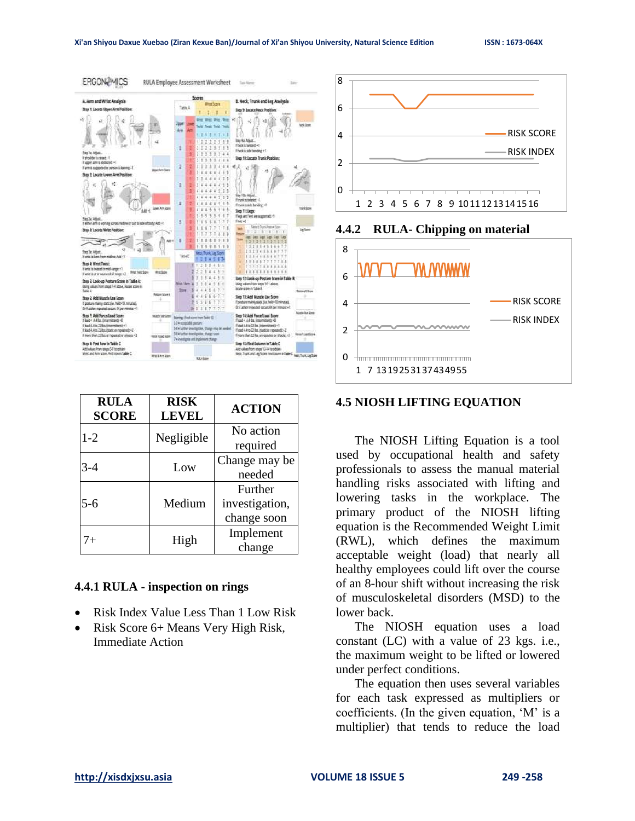

| <b>RULA</b><br><b>SCORE</b> | <b>RISK</b><br><b>LEVEL</b> | <b>ACTION</b>                            |
|-----------------------------|-----------------------------|------------------------------------------|
| $1 - 2$                     | Negligible                  | No action<br>required                    |
| $3-4$                       | Low                         | Change may be<br>needed                  |
| $5-6$                       | Medium                      | Further<br>investigation,<br>change soon |
| $7+$                        | High                        | Implement<br>change                      |

## **4.4.1 RULA - inspection on rings**

- Risk Index Value Less Than 1 Low Risk
- Risk Score 6+ Means Very High Risk, Immediate Action





#### **4.4.2 RULA- Chipping on material**

#### **4.5 NIOSH LIFTING EQUATION**

The NIOSH Lifting Equation is a tool used by occupational health and safety professionals to assess the manual material handling risks associated with lifting and lowering tasks in the workplace. The primary product of the NIOSH lifting equation is the Recommended Weight Limit (RWL), which defines the maximum acceptable weight (load) that nearly all healthy employees could lift over the course of an 8-hour shift without increasing the risk of musculoskeletal disorders (MSD) to the lower back.

The NIOSH equation uses a load constant (LC) with a value of 23 kgs. i.e., the maximum weight to be lifted or lowered under perfect conditions.

The equation then uses several variables for each task expressed as multipliers or coefficients. (In the given equation, 'M' is a multiplier) that tends to reduce the load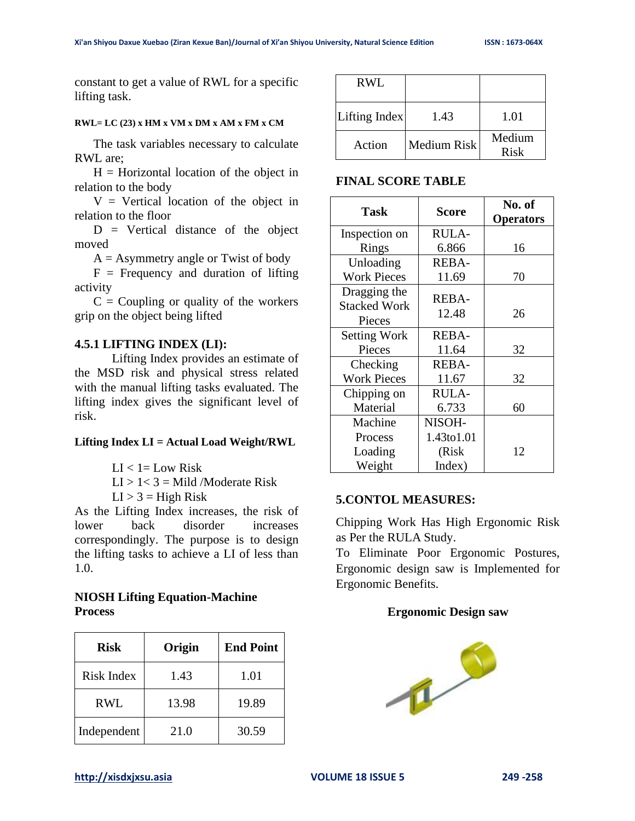constant to get a value of RWL for a specific lifting task.

#### **RWL= LC (23) x HM x VM x DM x AM x FM x CM**

The task variables necessary to calculate RWL are;

 $H =$  Horizontal location of the object in relation to the body

 $V =$  Vertical location of the object in relation to the floor

 $D =$  Vertical distance of the object moved

 $A =$  Asymmetry angle or Twist of body

 $F = F$  Frequency and duration of lifting activity

 $C =$  Coupling or quality of the workers grip on the object being lifted

#### **4.5.1 LIFTING INDEX (LI):**

Lifting Index provides an estimate of the MSD risk and physical stress related with the manual lifting tasks evaluated. The lifting index gives the significant level of risk.

#### **Lifting Index LI = Actual Load Weight/RWL**

 $LI < 1 = Low Risk$ 

 $LI > 1 < 3 = Mild$  /Moderate Risk

 $LI > 3 = High Risk$ 

As the Lifting Index increases, the risk of lower back disorder increases correspondingly. The purpose is to design the lifting tasks to achieve a LI of less than 1.0.

## **NIOSH Lifting Equation-Machine Process**

| <b>Risk</b>       | Origin | <b>End Point</b> |
|-------------------|--------|------------------|
| <b>Risk Index</b> | 1.43   | 1.01             |
| <b>RWL</b>        | 13.98  | 19.89            |
| Independent       | 21.0   | 30.59            |

| <b>RWL</b>    |             |                |
|---------------|-------------|----------------|
| Lifting Index | 1.43        | 1.01           |
| Action        | Medium Risk | Medium<br>Risk |

#### **FINAL SCORE TABLE**

| <b>Task</b>         | <b>Score</b> | No. of           |
|---------------------|--------------|------------------|
|                     |              | <b>Operators</b> |
| Inspection on       | <b>RULA-</b> |                  |
| Rings               | 6.866        | 16               |
| Unloading           | <b>REBA-</b> |                  |
| <b>Work Pieces</b>  | 11.69        | 70               |
| Dragging the        | <b>REBA-</b> |                  |
| <b>Stacked Work</b> |              |                  |
| Pieces              | 12.48        | 26               |
| <b>Setting Work</b> | <b>REBA-</b> |                  |
| Pieces              | 11.64        | 32               |
| Checking            | <b>REBA-</b> |                  |
| <b>Work Pieces</b>  | 11.67        | 32               |
| Chipping on         | <b>RULA-</b> |                  |
| Material            | 6.733        | 60               |
| Machine             | NISOH-       |                  |
| Process             | 1.43to1.01   |                  |
| Loading             | (Risk        | 12               |
| Weight              | Index)       |                  |

#### **5.CONTOL MEASURES:**

Chipping Work Has High Ergonomic Risk as Per the RULA Study.

To Eliminate Poor Ergonomic Postures, Ergonomic design saw is Implemented for Ergonomic Benefits.

#### **Ergonomic Design saw**

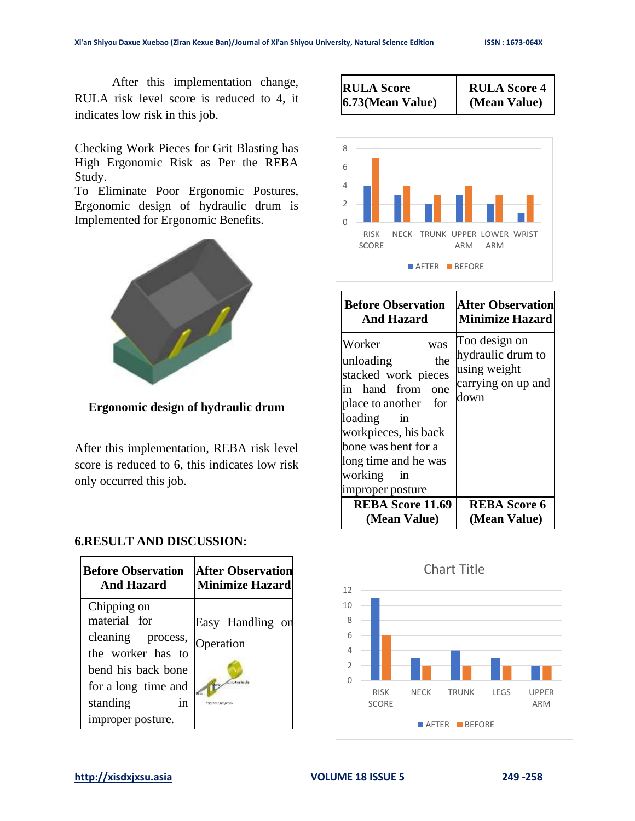After this implementation change, RULA risk level score is reduced to 4, it indicates low risk in this job.

Checking Work Pieces for Grit Blasting has High Ergonomic Risk as Per the REBA Study.

To Eliminate Poor Ergonomic Postures, Ergonomic design of hydraulic drum is Implemented for Ergonomic Benefits.



**Ergonomic design of hydraulic drum**

After this implementation, REBA risk level score is reduced to 6, this indicates low risk only occurred this job.





| <b>Before Observation</b>                                                                                                                                                                                                         | <b>After Observation</b>                                                         |
|-----------------------------------------------------------------------------------------------------------------------------------------------------------------------------------------------------------------------------------|----------------------------------------------------------------------------------|
| <b>And Hazard</b>                                                                                                                                                                                                                 | <b>Minimize Hazard</b>                                                           |
| Worker<br>was<br>the<br>unloading<br>stacked work pieces<br>in hand from<br>one<br>place to another<br>for<br>loading in<br>workpieces, his back<br>bone was bent for a<br>long time and he was<br>working in<br>improper posture | Too design on<br>hydraulic drum to<br>using weight<br>carrying on up and<br>down |
| <b>REBA Score 11.69</b>                                                                                                                                                                                                           | <b>REBA Score 6</b>                                                              |
| (Mean Value)                                                                                                                                                                                                                      | (Mean Value)                                                                     |



#### **6.RESULT AND DISCUSSION:**

| <b>Before Observation</b>                                                                                                                                 | <b>After Observation</b>      |
|-----------------------------------------------------------------------------------------------------------------------------------------------------------|-------------------------------|
| And Hazard                                                                                                                                                | <b>Minimize Hazard</b>        |
| Chipping on<br>material for<br>cleaning process,<br>the worker has to<br>bend his back bone<br>for a long time and<br>standing<br>1n<br>improper posture. | Easy Handling on<br>Operation |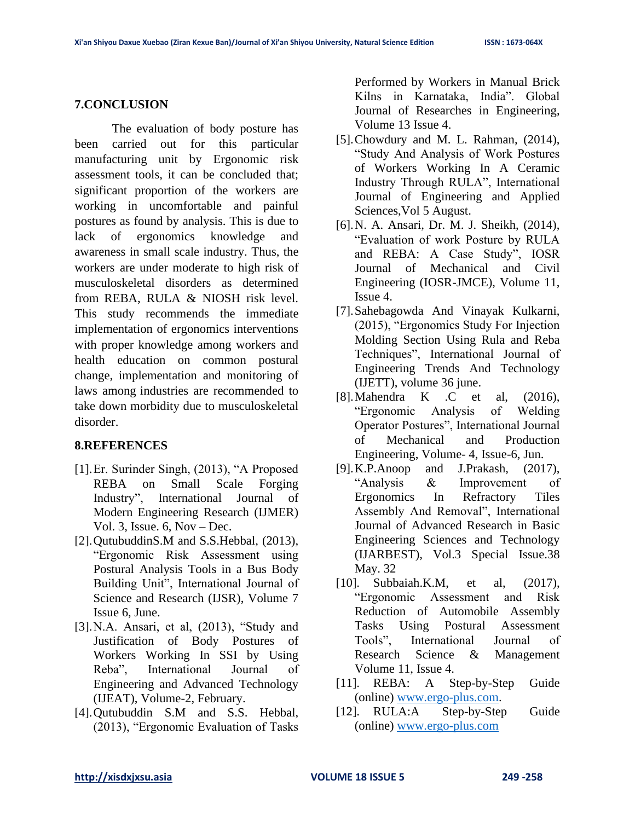### **7.CONCLUSION**

The evaluation of body posture has been carried out for this particular manufacturing unit by Ergonomic risk assessment tools, it can be concluded that; significant proportion of the workers are working in uncomfortable and painful postures as found by analysis. This is due to lack of ergonomics knowledge and awareness in small scale industry. Thus, the workers are under moderate to high risk of musculoskeletal disorders as determined from REBA, RULA & NIOSH risk level. This study recommends the immediate implementation of ergonomics interventions with proper knowledge among workers and health education on common postural change, implementation and monitoring of laws among industries are recommended to take down morbidity due to musculoskeletal disorder.

## **8.REFERENCES**

- [1].Er. Surinder Singh, (2013), "A Proposed REBA on Small Scale Forging Industry", International Journal of Modern Engineering Research (IJMER) Vol. 3, Issue.  $6.$  Nov – Dec.
- [2]. QutubuddinS.M and S.S. Hebbal, (2013), "Ergonomic Risk Assessment using Postural Analysis Tools in a Bus Body Building Unit", International Journal of Science and Research (IJSR), Volume 7 Issue 6, June.
- [3].N.A. Ansari, et al, (2013), "Study and Justification of Body Postures of Workers Working In SSI by Using Reba", International Journal of Engineering and Advanced Technology (IJEAT), Volume-2, February.
- [4].Qutubuddin S.M and S.S. Hebbal, (2013), "Ergonomic Evaluation of Tasks

Performed by Workers in Manual Brick Kilns in Karnataka, India". Global Journal of Researches in Engineering, Volume 13 Issue 4.

- [5].Chowdury and M. L. Rahman, (2014), "Study And Analysis of Work Postures of Workers Working In A Ceramic Industry Through RULA", International Journal of Engineering and Applied Sciences,Vol 5 August.
- [6].N. A. Ansari, Dr. M. J. Sheikh, (2014), "Evaluation of work Posture by RULA and REBA: A Case Study", IOSR Journal of Mechanical and Civil Engineering (IOSR-JMCE), Volume 11, Issue 4.
- [7].Sahebagowda And Vinayak Kulkarni, (2015), "Ergonomics Study For Injection Molding Section Using Rula and Reba Techniques", International Journal of Engineering Trends And Technology (IJETT), volume 36 june.
- [8].Mahendra K .C et al, (2016), "Ergonomic Analysis of Welding Operator Postures", International Journal of Mechanical and Production Engineering, Volume- 4, Issue-6, Jun.
- [9].K.P.Anoop and J.Prakash, (2017), "Analysis & Improvement of Ergonomics In Refractory Tiles Assembly And Removal", International Journal of Advanced Research in Basic Engineering Sciences and Technology (IJARBEST), Vol.3 Special Issue.38 May. 32
- [10]. Subbaiah.K.M, et al, (2017). "Ergonomic Assessment and Risk Reduction of Automobile Assembly Tasks Using Postural Assessment Tools", International Journal of Research Science & Management Volume 11, Issue 4.
- [11]. REBA: A Step-by-Step Guide (online) [www.ergo-plus.com.](http://www.ergo-plus.com/)
- [12]. RULA:A Step-by-Step Guide (online) [www.ergo-plus.com](http://www.ergo-plus.com/)